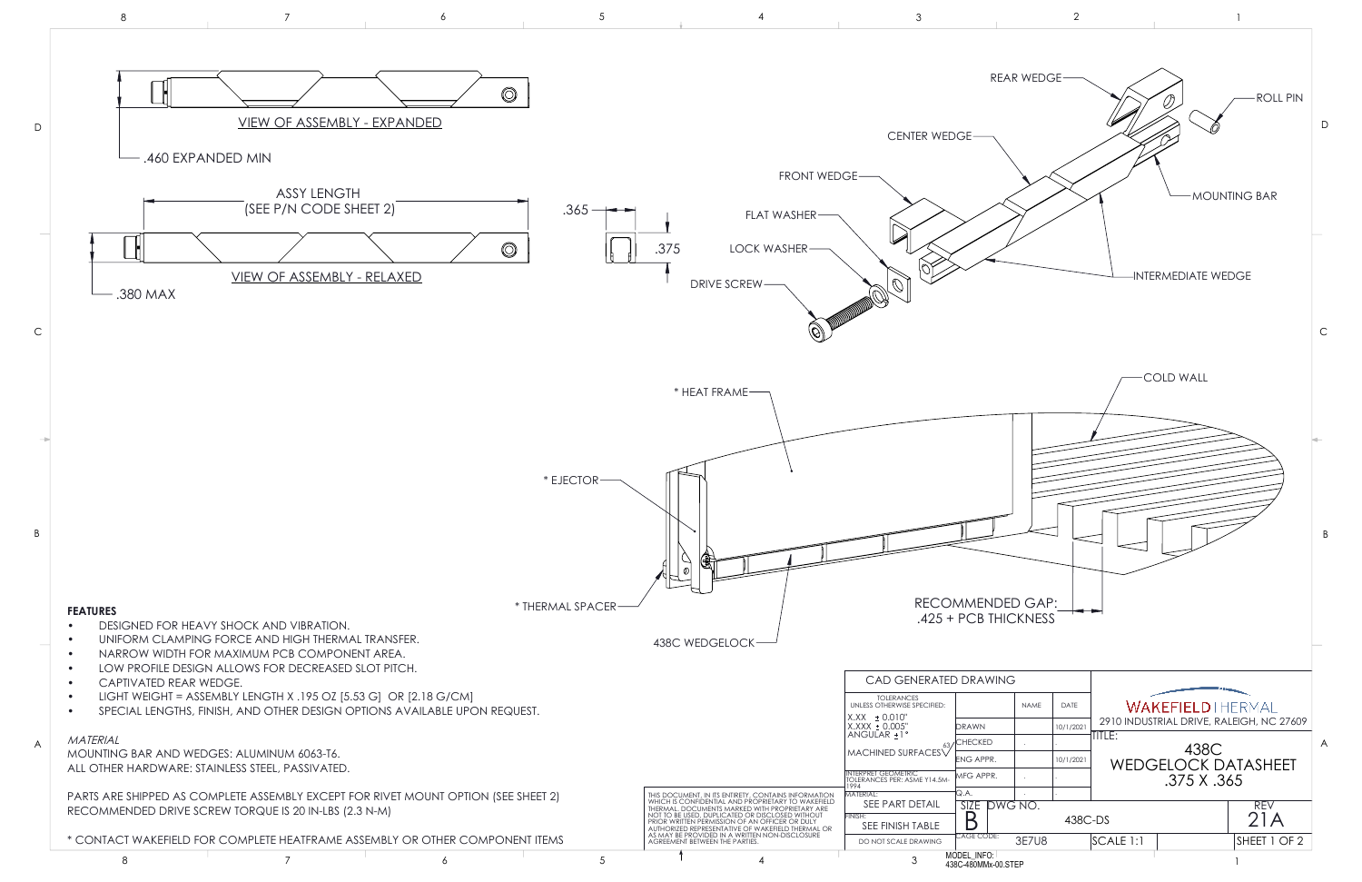